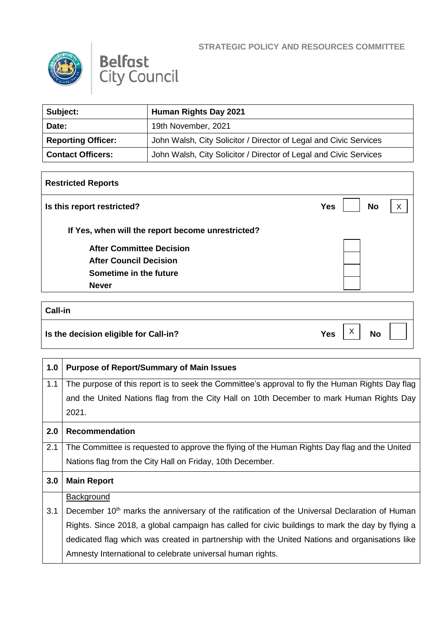

Г



| Subject:                  | Human Rights Day 2021                                             |
|---------------------------|-------------------------------------------------------------------|
| Date:                     | 19th November, 2021                                               |
| <b>Reporting Officer:</b> | John Walsh, City Solicitor / Director of Legal and Civic Services |
| <b>Contact Officers:</b>  | John Walsh, City Solicitor / Director of Legal and Civic Services |

| <b>Restricted Reports</b>                         |                         |   |
|---------------------------------------------------|-------------------------|---|
| Is this report restricted?                        | <b>No</b><br><b>Yes</b> | X |
| If Yes, when will the report become unrestricted? |                         |   |
| <b>After Committee Decision</b>                   |                         |   |
| <b>After Council Decision</b>                     |                         |   |
| Sometime in the future                            |                         |   |
| <b>Never</b>                                      |                         |   |

## **Call-in Is the decision eligible for Call-in?**  $Yes \begin{bmatrix} X \\ Y \end{bmatrix}$  No  $\vert x \vert$

| 1.0 | <b>Purpose of Report/Summary of Main Issues</b>                                                           |
|-----|-----------------------------------------------------------------------------------------------------------|
| 1.1 | The purpose of this report is to seek the Committee's approval to fly the Human Rights Day flag           |
|     | and the United Nations flag from the City Hall on 10th December to mark Human Rights Day                  |
|     | 2021.                                                                                                     |
| 2.0 | <b>Recommendation</b>                                                                                     |
| 2.1 | The Committee is requested to approve the flying of the Human Rights Day flag and the United              |
|     | Nations flag from the City Hall on Friday, 10th December.                                                 |
| 3.0 | <b>Main Report</b>                                                                                        |
|     | <b>Background</b>                                                                                         |
| 3.1 | December 10 <sup>th</sup> marks the anniversary of the ratification of the Universal Declaration of Human |
|     | Rights. Since 2018, a global campaign has called for civic buildings to mark the day by flying a          |
|     | dedicated flag which was created in partnership with the United Nations and organisations like            |
|     | Amnesty International to celebrate universal human rights.                                                |